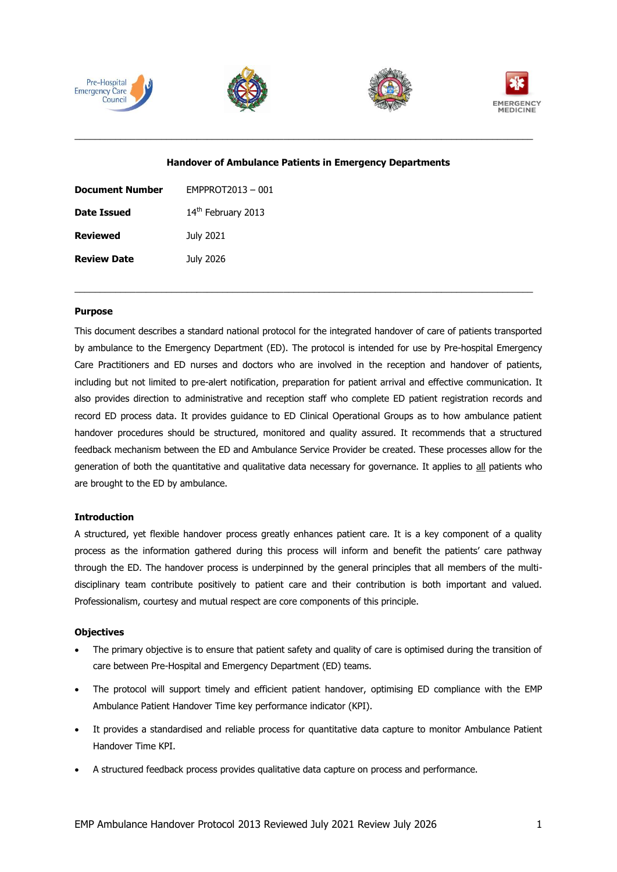







#### **Handover of Ambulance Patients in Emergency Departments**

\_\_\_\_\_\_\_\_\_\_\_\_\_\_\_\_\_\_\_\_\_\_\_\_\_\_\_\_\_\_\_\_\_\_\_\_\_\_\_\_\_\_\_\_\_\_\_\_\_\_\_\_\_\_\_\_\_\_\_\_\_\_\_\_\_\_\_\_\_\_\_\_\_\_\_\_\_\_\_\_\_\_\_\_\_\_\_\_\_\_

| <b>Document Number</b> | EMPPROT2013-001    |
|------------------------|--------------------|
| <b>Date Issued</b>     | 14th February 2013 |
| <b>Reviewed</b>        | July 2021          |
| <b>Review Date</b>     | July 2026          |

### **Purpose**

This document describes a standard national protocol for the integrated handover of care of patients transported by ambulance to the Emergency Department (ED). The protocol is intended for use by Pre-hospital Emergency Care Practitioners and ED nurses and doctors who are involved in the reception and handover of patients, including but not limited to pre-alert notification, preparation for patient arrival and effective communication. It also provides direction to administrative and reception staff who complete ED patient registration records and record ED process data. It provides guidance to ED Clinical Operational Groups as to how ambulance patient handover procedures should be structured, monitored and quality assured. It recommends that a structured feedback mechanism between the ED and Ambulance Service Provider be created. These processes allow for the generation of both the quantitative and qualitative data necessary for governance. It applies to all patients who are brought to the ED by ambulance.

\_\_\_\_\_\_\_\_\_\_\_\_\_\_\_\_\_\_\_\_\_\_\_\_\_\_\_\_\_\_\_\_\_\_\_\_\_\_\_\_\_\_\_\_\_\_\_\_\_\_\_\_\_\_\_\_\_\_\_\_\_\_\_\_\_\_\_\_\_\_\_\_\_\_\_\_\_\_\_\_\_\_\_\_\_\_\_\_\_\_

#### **Introduction**

A structured, yet flexible handover process greatly enhances patient care. It is a key component of a quality process as the information gathered during this process will inform and benefit the patients' care pathway through the ED. The handover process is underpinned by the general principles that all members of the multidisciplinary team contribute positively to patient care and their contribution is both important and valued. Professionalism, courtesy and mutual respect are core components of this principle.

#### **Objectives**

- The primary objective is to ensure that patient safety and quality of care is optimised during the transition of care between Pre-Hospital and Emergency Department (ED) teams.
- The protocol will support timely and efficient patient handover, optimising ED compliance with the EMP Ambulance Patient Handover Time key performance indicator (KPI).
- It provides a standardised and reliable process for quantitative data capture to monitor Ambulance Patient Handover Time KPI.
- A structured feedback process provides qualitative data capture on process and performance.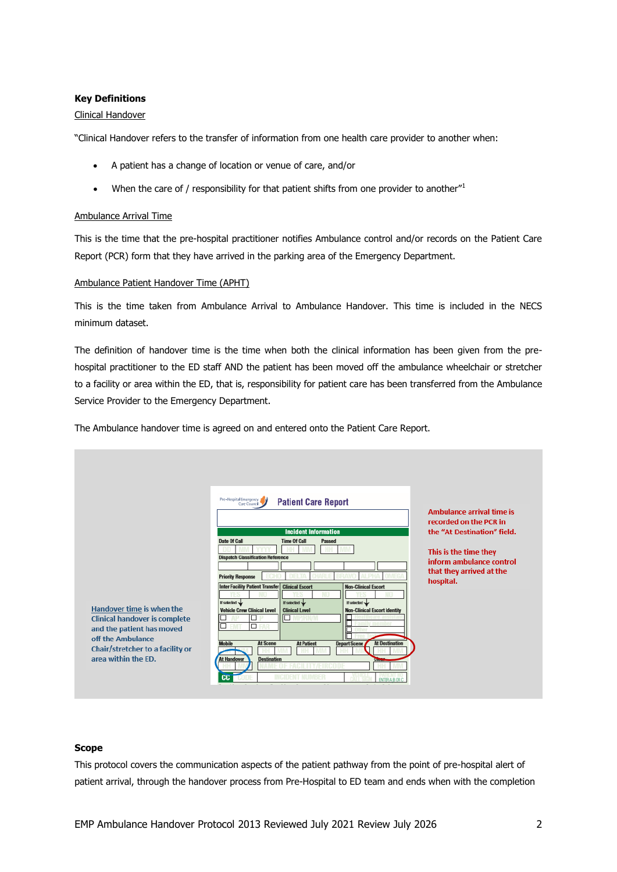## **Key Definitions**

### Clinical Handover

"Clinical Handover refers to the transfer of information from one health care provider to another when:

- A patient has a change of location or venue of care, and/or
- $\bullet$  When the care of / responsibility for that patient shifts from one provider to another"

## Ambulance Arrival Time

This is the time that the pre-hospital practitioner notifies Ambulance control and/or records on the Patient Care Report (PCR) form that they have arrived in the parking area of the Emergency Department.

### Ambulance Patient Handover Time (APHT)

This is the time taken from Ambulance Arrival to Ambulance Handover. This time is included in the NECS minimum dataset.

The definition of handover time is the time when both the clinical information has been given from the prehospital practitioner to the ED staff AND the patient has been moved off the ambulance wheelchair or stretcher to a facility or area within the ED, that is, responsibility for patient care has been transferred from the Ambulance Service Provider to the Emergency Department.

The Ambulance handover time is agreed on and entered onto the Patient Care Report.

|                                                                                                                                                                                | Pre-Hospital Emergency<br><b>Patient Care Report</b>                                                                                                                                                                                                                                                                                                                                                                                                                                                                                                                                                                                          | <b>Ambulance arrival time is</b><br>recorded on the PCR in                                                                |
|--------------------------------------------------------------------------------------------------------------------------------------------------------------------------------|-----------------------------------------------------------------------------------------------------------------------------------------------------------------------------------------------------------------------------------------------------------------------------------------------------------------------------------------------------------------------------------------------------------------------------------------------------------------------------------------------------------------------------------------------------------------------------------------------------------------------------------------------|---------------------------------------------------------------------------------------------------------------------------|
| Handover time is when the<br><b>Clinical handover is complete</b><br>and the patient has moved<br>off the Ambulance<br>Chair/stretcher to a facility or<br>area within the ED. | <b>Incident Information</b><br>Date Of Call<br><b>Time Of Call</b><br>Passed<br><b>Dispatch Classification Reference</b><br><b>Priority Response</b><br><b>Inter Facility Patient Transfer Clinical Escort</b><br><b>Non-Clinical Escort</b><br>If selected w<br>If selected<br>If selected<br><b>Vehicle Crew Clinical Level</b><br><b>Non-Clinical Escort Identity</b><br><b>Clinical Level</b><br>□<br>$\overline{\phantom{a}}$<br>□<br><b>At Scene</b><br><b>At Destination</b><br><b>Mobile</b><br><b>At Patient</b><br><b>Depart Scene</b><br><b>At Handover</b><br><b>Destination</b><br><b>Lines</b><br><b>CC</b><br><b>BUTERABOR</b> | the "At Destination" field.<br>This is the time they<br>inform ambulance control<br>that they arrived at the<br>hospital. |

#### **Scope**

This protocol covers the communication aspects of the patient pathway from the point of pre-hospital alert of patient arrival, through the handover process from Pre-Hospital to ED team and ends when with the completion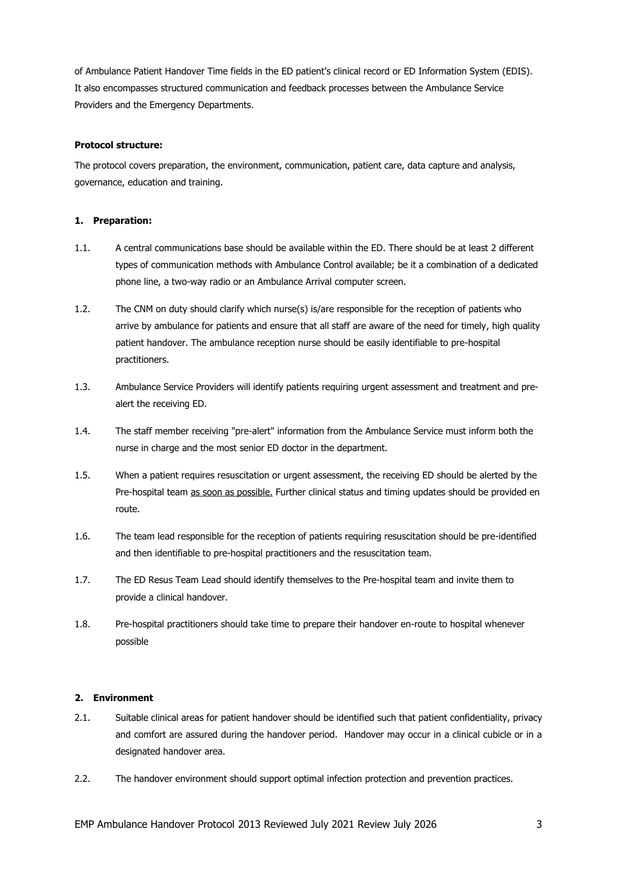of Ambulance Patient Handover Time fields in the ED patient's clinical record or ED Information System (EDIS). It also encompasses structured communication and feedback processes between the Ambulance Service Providers and the Emergency Departments.

## **Protocol structure:**

The protocol covers preparation, the environment, communication, patient care, data capture and analysis, governance, education and training.

## **1. Preparation:**

- 1.1. A central communications base should be available within the ED. There should be at least 2 different types of communication methods with Ambulance Control available; be it a combination of a dedicated phone line, a two-way radio or an Ambulance Arrival computer screen.
- 1.2. The CNM on duty should clarify which nurse(s) is/are responsible for the reception of patients who arrive by ambulance for patients and ensure that all staff are aware of the need for timely, high quality patient handover. The ambulance reception nurse should be easily identifiable to pre-hospital practitioners.
- 1.3. Ambulance Service Providers will identify patients requiring urgent assessment and treatment and prealert the receiving ED.
- 1.4. The staff member receiving "pre-alert" information from the Ambulance Service must inform both the nurse in charge and the most senior ED doctor in the department.
- 1.5. When a patient requires resuscitation or urgent assessment, the receiving ED should be alerted by the Pre-hospital team as soon as possible. Further clinical status and timing updates should be provided en route.
- 1.6. The team lead responsible for the reception of patients requiring resuscitation should be pre-identified and then identifiable to pre-hospital practitioners and the resuscitation team.
- 1.7. The ED Resus Team Lead should identify themselves to the Pre-hospital team and invite them to provide a clinical handover.
- 1.8. Pre-hospital practitioners should take time to prepare their handover en-route to hospital whenever possible

## **2. Environment**

- 2.1. Suitable clinical areas for patient handover should be identified such that patient confidentiality, privacy and comfort are assured during the handover period. Handover may occur in a clinical cubicle or in a designated handover area.
- 2.2. The handover environment should support optimal infection protection and prevention practices.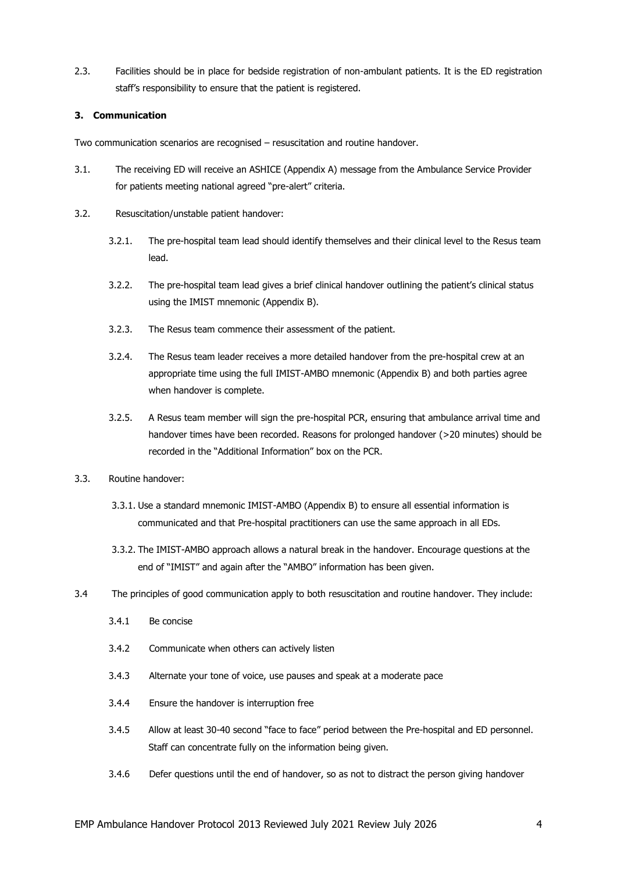2.3. Facilities should be in place for bedside registration of non-ambulant patients. It is the ED registration staff's responsibility to ensure that the patient is registered.

# **3. Communication**

Two communication scenarios are recognised – resuscitation and routine handover.

- 3.1. The receiving ED will receive an ASHICE (Appendix A) message from the Ambulance Service Provider for patients meeting national agreed "pre-alert" criteria.
- 3.2. Resuscitation/unstable patient handover:
	- 3.2.1. The pre-hospital team lead should identify themselves and their clinical level to the Resus team lead.
	- 3.2.2. The pre-hospital team lead gives a brief clinical handover outlining the patient's clinical status using the IMIST mnemonic (Appendix B).
	- 3.2.3. The Resus team commence their assessment of the patient.
	- 3.2.4. The Resus team leader receives a more detailed handover from the pre-hospital crew at an appropriate time using the full IMIST-AMBO mnemonic (Appendix B) and both parties agree when handover is complete.
	- 3.2.5. A Resus team member will sign the pre-hospital PCR, ensuring that ambulance arrival time and handover times have been recorded. Reasons for prolonged handover (>20 minutes) should be recorded in the "Additional Information" box on the PCR.
- 3.3. Routine handover:
	- 3.3.1. Use a standard mnemonic IMIST-AMBO (Appendix B) to ensure all essential information is communicated and that Pre-hospital practitioners can use the same approach in all EDs.
	- 3.3.2. The IMIST-AMBO approach allows a natural break in the handover. Encourage questions at the end of "IMIST" and again after the "AMBO" information has been given.
- 3.4 The principles of good communication apply to both resuscitation and routine handover. They include:
	- 3.4.1 Be concise
	- 3.4.2 Communicate when others can actively listen
	- 3.4.3 Alternate your tone of voice, use pauses and speak at a moderate pace
	- 3.4.4 Ensure the handover is interruption free
	- 3.4.5 Allow at least 30-40 second "face to face" period between the Pre-hospital and ED personnel. Staff can concentrate fully on the information being given.
	- 3.4.6 Defer questions until the end of handover, so as not to distract the person giving handover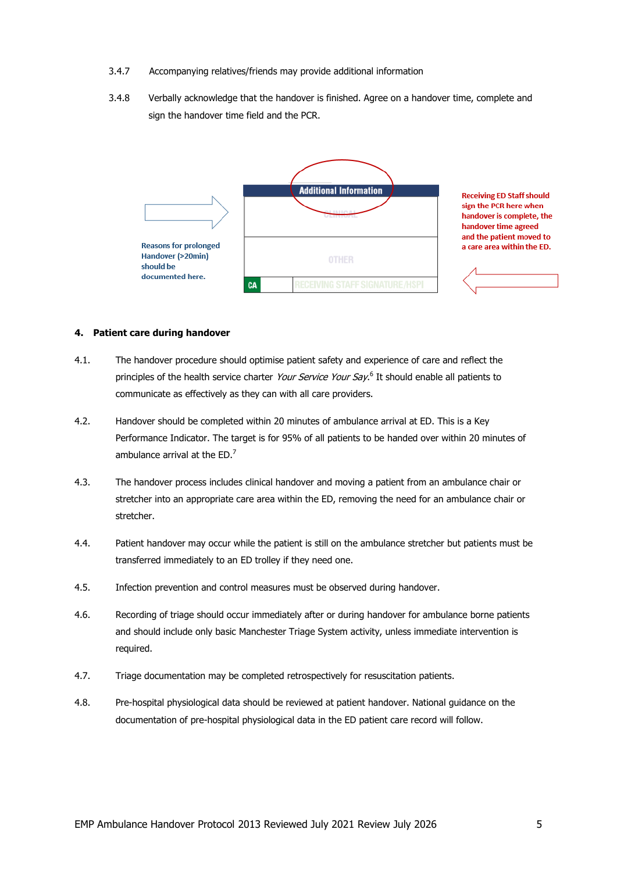- 3.4.7 Accompanying relatives/friends may provide additional information
- 3.4.8 Verbally acknowledge that the handover is finished. Agree on a handover time, complete and sign the handover time field and the PCR.



**Receiving ED Staff should** sign the PCR here when handover is complete, the handover time agreed and the patient moved to a care area within the ED.

#### **4. Patient care during handover**

- 4.1. The handover procedure should optimise patient safety and experience of care and reflect the principles of the health service charter *Your Service Your Say*.<sup>6</sup> It should enable all patients to communicate as effectively as they can with all care providers.
- 4.2. Handover should be completed within 20 minutes of ambulance arrival at ED. This is a Key Performance Indicator. The target is for 95% of all patients to be handed over within 20 minutes of ambulance arrival at the  $ED.^7$
- 4.3. The handover process includes clinical handover and moving a patient from an ambulance chair or stretcher into an appropriate care area within the ED, removing the need for an ambulance chair or stretcher.
- 4.4. Patient handover may occur while the patient is still on the ambulance stretcher but patients must be transferred immediately to an ED trolley if they need one.
- 4.5. Infection prevention and control measures must be observed during handover.
- 4.6. Recording of triage should occur immediately after or during handover for ambulance borne patients and should include only basic Manchester Triage System activity, unless immediate intervention is required.
- 4.7. Triage documentation may be completed retrospectively for resuscitation patients.
- 4.8. Pre-hospital physiological data should be reviewed at patient handover. National guidance on the documentation of pre-hospital physiological data in the ED patient care record will follow.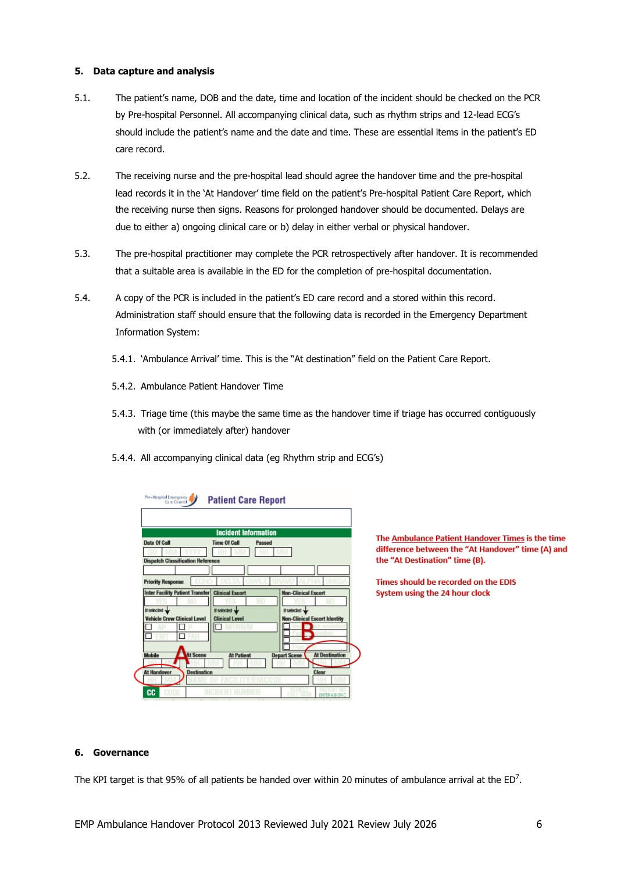### **5. Data capture and analysis**

- 5.1. The patient's name, DOB and the date, time and location of the incident should be checked on the PCR by Pre-hospital Personnel. All accompanying clinical data, such as rhythm strips and 12-lead ECG's should include the patient's name and the date and time. These are essential items in the patient's ED care record.
- 5.2. The receiving nurse and the pre-hospital lead should agree the handover time and the pre-hospital lead records it in the 'At Handover' time field on the patient's Pre-hospital Patient Care Report, which the receiving nurse then signs. Reasons for prolonged handover should be documented. Delays are due to either a) ongoing clinical care or b) delay in either verbal or physical handover.
- 5.3. The pre-hospital practitioner may complete the PCR retrospectively after handover. It is recommended that a suitable area is available in the ED for the completion of pre-hospital documentation.
- 5.4. A copy of the PCR is included in the patient's ED care record and a stored within this record. Administration staff should ensure that the following data is recorded in the Emergency Department Information System:
	- 5.4.1. 'Ambulance Arrival' time. This is the "At destination" field on the Patient Care Report.
	- 5.4.2. Ambulance Patient Handover Time
	- 5.4.3. Triage time (this maybe the same time as the handover time if triage has occurred contiguously with (or immediately after) handover
	- 5.4.4. All accompanying clinical data (eg Rhythm strip and ECG's)

| <b>Incident Information</b>                                      |        |                            |                                     |
|------------------------------------------------------------------|--------|----------------------------|-------------------------------------|
| <b>Time Of Call</b>                                              | Passed |                            |                                     |
|                                                                  |        |                            |                                     |
| <b>Dispatch Classification Reference</b>                         |        |                            |                                     |
|                                                                  |        |                            |                                     |
|                                                                  |        |                            |                                     |
| <b>Inter Facility Patient Transfer</b><br><b>Clinical Escort</b> |        | <b>Non-Clinical Escort</b> |                                     |
|                                                                  |        |                            |                                     |
| If selected w                                                    |        | If selected w              |                                     |
| <b>Clinical Level</b>                                            |        |                            | <b>Non-Clinical Escort Identity</b> |
|                                                                  |        |                            |                                     |
|                                                                  |        |                            |                                     |
|                                                                  |        |                            |                                     |
| <b>At Patient</b>                                                |        | <b>Depart Scene</b>        | <b>At Destination</b>               |
|                                                                  |        |                            |                                     |
|                                                                  |        |                            |                                     |

The Ambulance Patient Handover Times is the time difference between the "At Handover" time (A) and the "At Destination" time (B).

Times should be recorded on the EDIS System using the 24 hour clock

### **6. Governance**

The KPI target is that 95% of all patients be handed over within 20 minutes of ambulance arrival at the ED<sup>7</sup>.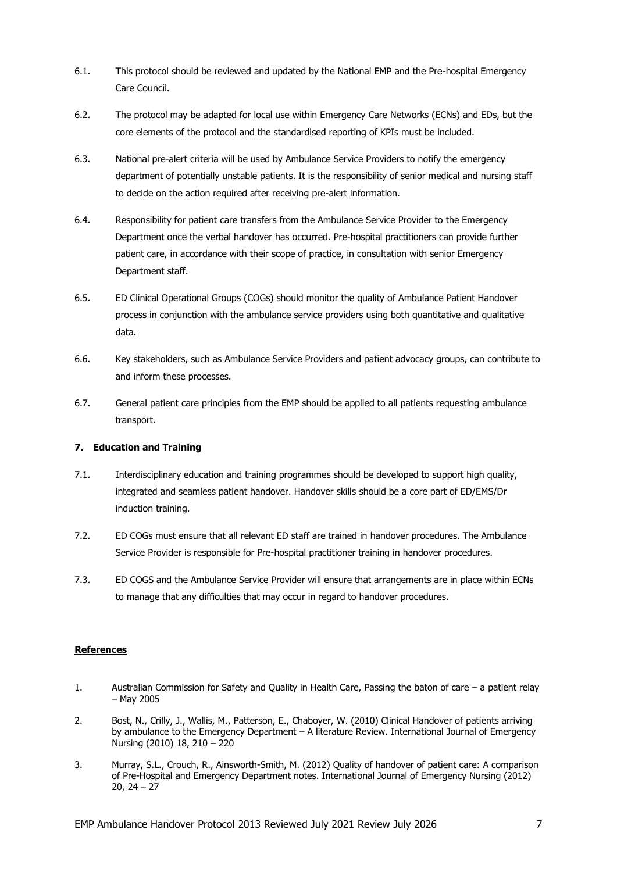- 6.1. This protocol should be reviewed and updated by the National EMP and the Pre-hospital Emergency Care Council.
- 6.2. The protocol may be adapted for local use within Emergency Care Networks (ECNs) and EDs, but the core elements of the protocol and the standardised reporting of KPIs must be included.
- 6.3. National pre-alert criteria will be used by Ambulance Service Providers to notify the emergency department of potentially unstable patients. It is the responsibility of senior medical and nursing staff to decide on the action required after receiving pre-alert information.
- 6.4. Responsibility for patient care transfers from the Ambulance Service Provider to the Emergency Department once the verbal handover has occurred. Pre-hospital practitioners can provide further patient care, in accordance with their scope of practice, in consultation with senior Emergency Department staff.
- 6.5. ED Clinical Operational Groups (COGs) should monitor the quality of Ambulance Patient Handover process in conjunction with the ambulance service providers using both quantitative and qualitative data.
- 6.6. Key stakeholders, such as Ambulance Service Providers and patient advocacy groups, can contribute to and inform these processes.
- 6.7. General patient care principles from the EMP should be applied to all patients requesting ambulance transport.

# **7. Education and Training**

- 7.1. Interdisciplinary education and training programmes should be developed to support high quality, integrated and seamless patient handover. Handover skills should be a core part of ED/EMS/Dr induction training.
- 7.2. ED COGs must ensure that all relevant ED staff are trained in handover procedures. The Ambulance Service Provider is responsible for Pre-hospital practitioner training in handover procedures.
- 7.3. ED COGS and the Ambulance Service Provider will ensure that arrangements are in place within ECNs to manage that any difficulties that may occur in regard to handover procedures.

# **References**

- 1. Australian Commission for Safety and Quality in Health Care, Passing the baton of care a patient relay – May 2005
- 2. Bost, N., Crilly, J., Wallis, M., Patterson, E., Chaboyer, W. (2010) Clinical Handover of patients arriving by ambulance to the Emergency Department – A literature Review. International Journal of Emergency Nursing (2010) 18, 210 – 220
- 3. Murray, S.L., Crouch, R., Ainsworth-Smith, M. (2012) Quality of handover of patient care: A comparison of Pre-Hospital and Emergency Department notes. International Journal of Emergency Nursing (2012) 20, 24 – 27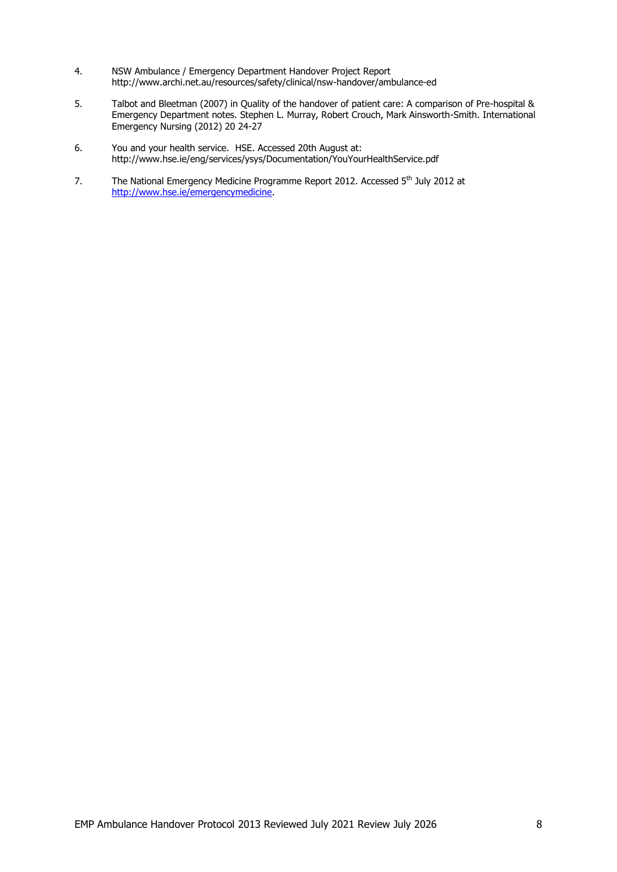- 4. NSW Ambulance / Emergency Department Handover Project Report http://www.archi.net.au/resources/safety/clinical/nsw-handover/ambulance-ed
- 5. Talbot and Bleetman (2007) in Quality of the handover of patient care: A comparison of Pre-hospital & Emergency Department notes. Stephen L. Murray, Robert Crouch, Mark Ainsworth-Smith. International Emergency Nursing (2012) 20 24-27
- 6. You and your health service. HSE. Accessed 20th August at: http://www.hse.ie/eng/services/ysys/Documentation/YouYourHealthService.pdf
- 7. The National Emergency Medicine Programme Report 2012. Accessed 5<sup>th</sup> July 2012 at [http://www.hse.ie/emergencymedicine.](http://www.hse.ie/emergencymedicine)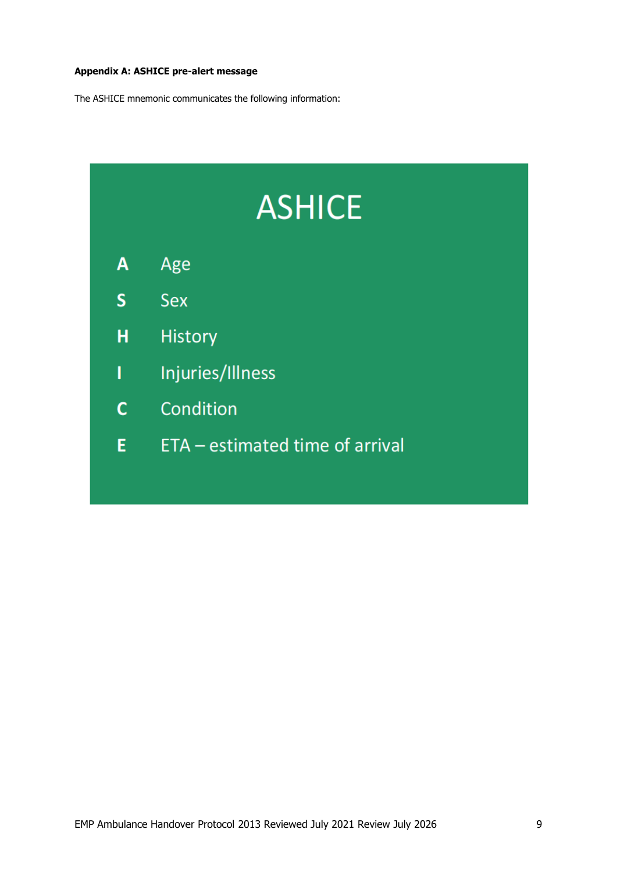# **Appendix A: ASHICE pre-alert message**

The ASHICE mnemonic communicates the following information:

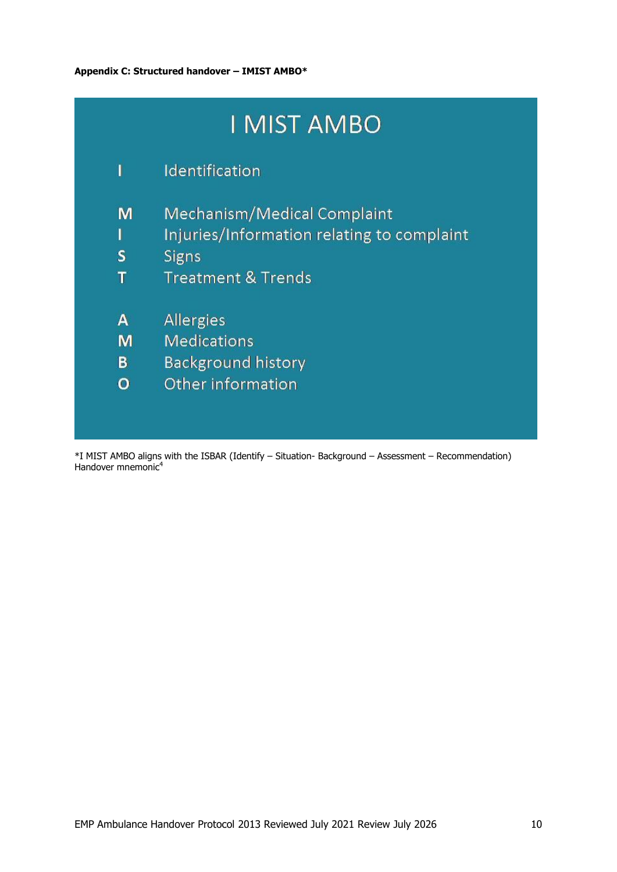|   | I MIST AMBO                                |
|---|--------------------------------------------|
| ı | Identification                             |
| M | <b>Mechanism/Medical Complaint</b>         |
| I | Injuries/Information relating to complaint |
| S | Signs                                      |
| Т | <b>Treatment &amp; Trends</b>              |
| A | <b>Allergies</b>                           |
| м | <b>Medications</b>                         |
| В | <b>Background history</b>                  |
| O | Other information                          |
|   |                                            |

\*I MIST AMBO aligns with the ISBAR (Identify – Situation- Background – Assessment – Recommendation) Handover mnemonic<sup>4</sup>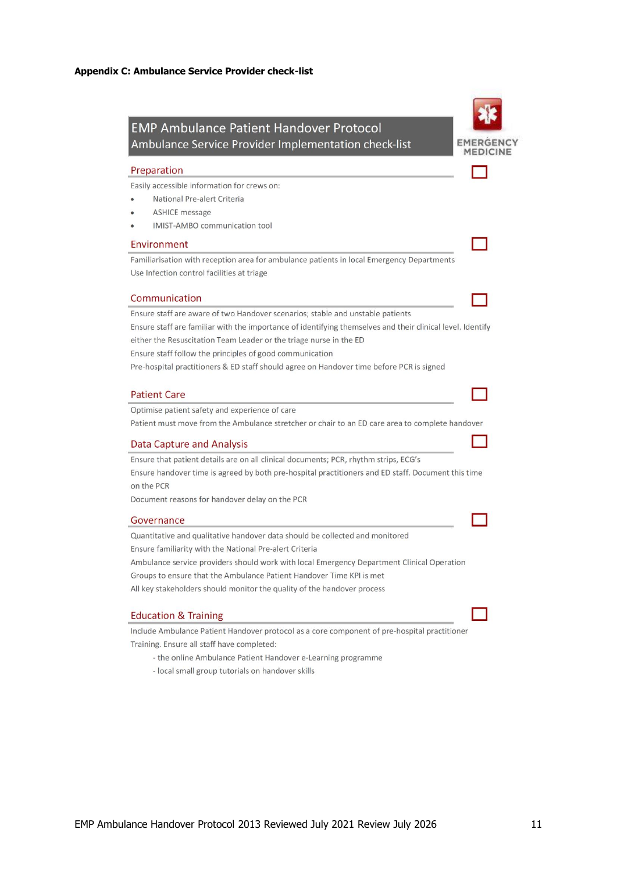

- the online Ambulance Patient Handover e-Learning programme

- local small group tutorials on handover skills